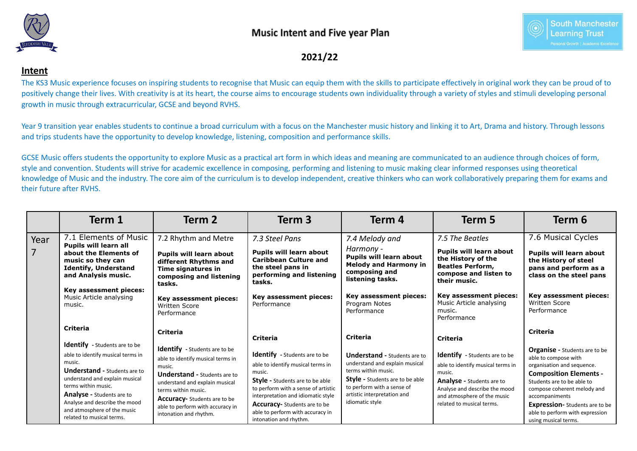



**2021/22**

## **Intent**

The KS3 Music experience focuses on inspiring students to recognise that Music can equip them with the skills to participate effectively in original work they can be proud of to positively change their lives. With creativity is at its heart, the course aims to encourage students own individuality through a variety of styles and stimuli developing personal growth in music through extracurricular, GCSE and beyond RVHS.

Year 9 transition year enables students to continue a broad curriculum with a focus on the Manchester music history and linking it to Art, Drama and history. Through lessons and trips students have the opportunity to develop knowledge, listening, composition and performance skills.

GCSE Music offers students the opportunity to explore Music as a practical art form in which ideas and meaning are communicated to an audience through choices of form, style and convention. Students will strive for academic excellence in composing, performing and listening to music making clear informed responses using theoretical knowledge of Music and the industry. The core aim of the curriculum is to develop independent, creative thinkers who can work collaboratively preparing them for exams and their future after RVHS.

|      | Term 1                                                                                           | Term 2                                                                                                      | Term 3                                                                                                             | Term 4                                                                                                           | Term 5                                                                                                                   | Term 6                                                                                                     |
|------|--------------------------------------------------------------------------------------------------|-------------------------------------------------------------------------------------------------------------|--------------------------------------------------------------------------------------------------------------------|------------------------------------------------------------------------------------------------------------------|--------------------------------------------------------------------------------------------------------------------------|------------------------------------------------------------------------------------------------------------|
| Year | 7.1 Elements of Music<br>Pupils will learn all                                                   | 7.2 Rhythm and Metre                                                                                        | 7.3 Steel Pans                                                                                                     | 7.4 Melody and                                                                                                   | 7.5 The Beatles                                                                                                          | 7.6 Musical Cycles                                                                                         |
| 7    | about the Elements of<br>music so they can<br><b>Identify, Understand</b><br>and Analysis music. | Pupils will learn about<br>different Rhythms and<br>Time signatures in<br>composing and listening<br>tasks. | Pupils will learn about<br><b>Caribbean Culture and</b><br>the steel pans in<br>performing and listening<br>tasks. | Harmony -<br><b>Pupils will learn about</b><br><b>Melody and Harmony in</b><br>composing and<br>listening tasks. | <b>Pupils will learn about</b><br>the History of the<br><b>Beatles Perform,</b><br>compose and listen to<br>their music. | <b>Pupils will learn about</b><br>the History of steel<br>pans and perform as a<br>class on the steel pans |
|      | Key assessment pieces:<br>Music Article analysing<br>music.                                      | Key assessment pieces:<br><b>Written Score</b><br>Performance                                               | Key assessment pieces:<br>Performance                                                                              | Key assessment pieces:<br>Program Notes<br>Performance                                                           | Key assessment pieces:<br>Music Article analysing<br>music.<br>Performance                                               | Key assessment pieces:<br><b>Written Score</b><br>Performance                                              |
|      | Criteria                                                                                         | <b>Criteria</b>                                                                                             | <b>Criteria</b>                                                                                                    | <b>Criteria</b>                                                                                                  | <b>Criteria</b>                                                                                                          | Criteria                                                                                                   |
|      | <b>Identify</b> - Students are to be                                                             | <b>Identify</b> - Students are to be                                                                        |                                                                                                                    |                                                                                                                  |                                                                                                                          | <b>Organise - Students are to be</b>                                                                       |
|      | able to identify musical terms in                                                                | able to identify musical terms in<br>music.                                                                 | <b>Identify</b> - Students are to be                                                                               | <b>Understand - Students are to</b>                                                                              | <b>Identify</b> - Students are to be                                                                                     | able to compose with                                                                                       |
|      | music.                                                                                           |                                                                                                             | able to identify musical terms in                                                                                  | understand and explain musical<br>terms within music.                                                            | able to identify musical terms in                                                                                        | organisation and sequence.                                                                                 |
|      | <b>Understand - Students are to</b><br>understand and explain musical                            | <b>Understand - Students are to</b>                                                                         | music.                                                                                                             | <b>Style</b> - Students are to be able                                                                           | music.                                                                                                                   | <b>Composition Elements -</b>                                                                              |
|      | terms within music.                                                                              | understand and explain musical<br>terms within music.                                                       | <b>Style</b> - Students are to be able<br>to perform with a sense of artistic                                      | to perform with a sense of                                                                                       | <b>Analyse - Students are to</b><br>Analyse and describe the mood                                                        | Students are to be able to<br>compose coherent melody and                                                  |
|      | <b>Analyse - Students are to</b>                                                                 | <b>Accuracy-</b> Students are to be                                                                         | interpretation and idiomatic style                                                                                 | artistic interpretation and                                                                                      | and atmosphere of the music                                                                                              | accompaniments                                                                                             |
|      | Analyse and describe the mood                                                                    | able to perform with accuracy in                                                                            | <b>Accuracy-</b> Students are to be                                                                                | idiomatic style                                                                                                  | related to musical terms.                                                                                                | <b>Expression-</b> Students are to be                                                                      |
|      | and atmosphere of the music<br>related to musical terms.                                         | intonation and rhythm.                                                                                      | able to perform with accuracy in<br>intonation and rhythm.                                                         |                                                                                                                  |                                                                                                                          | able to perform with expression<br>using musical terms.                                                    |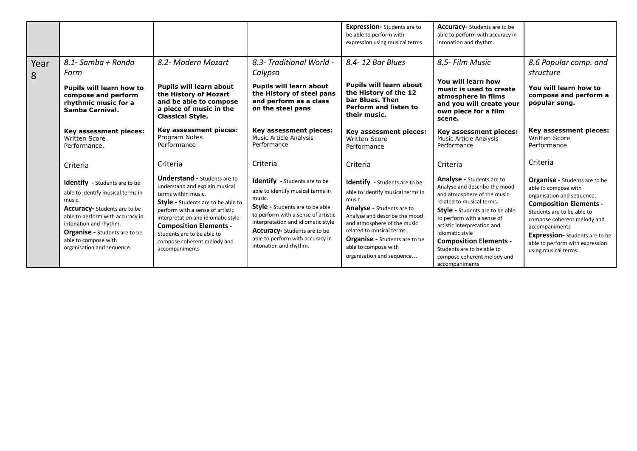|           |                                                                                                                                                                                                                                                                                 |                                                                                                                                                                                                                                                                                                                                     |                                                                                                                                                                                                                                                                                                                 | <b>Expression-</b> Students are to<br>be able to perform with<br>expression using musical terms.                                                                                                                                                                                                    | <b>Accuracy-</b> Students are to be<br>able to perform with accuracy in<br>intonation and rhythm.                                                                                                                                                                                                                                                         |                                                                                                                                                                                                                                                                                                                |
|-----------|---------------------------------------------------------------------------------------------------------------------------------------------------------------------------------------------------------------------------------------------------------------------------------|-------------------------------------------------------------------------------------------------------------------------------------------------------------------------------------------------------------------------------------------------------------------------------------------------------------------------------------|-----------------------------------------------------------------------------------------------------------------------------------------------------------------------------------------------------------------------------------------------------------------------------------------------------------------|-----------------------------------------------------------------------------------------------------------------------------------------------------------------------------------------------------------------------------------------------------------------------------------------------------|-----------------------------------------------------------------------------------------------------------------------------------------------------------------------------------------------------------------------------------------------------------------------------------------------------------------------------------------------------------|----------------------------------------------------------------------------------------------------------------------------------------------------------------------------------------------------------------------------------------------------------------------------------------------------------------|
| Year<br>8 | 8.1- Samba + Rondo<br>Form<br>Pupils will learn how to<br>compose and perform<br>rhythmic music for a<br>Samba Carnival.                                                                                                                                                        | 8.2- Modern Mozart<br><b>Pupils will learn about</b><br>the History of Mozart<br>and be able to compose<br>a piece of music in the<br><b>Classical Style.</b>                                                                                                                                                                       | 8.3- Traditional World -<br>Calypso<br><b>Pupils will learn about</b><br>the History of steel pans<br>and perform as a class<br>on the steel pans                                                                                                                                                               | 8.4-12 Bar Blues<br><b>Pupils will learn about</b><br>the History of the 12<br>bar Blues. Then<br>Perform and listen to<br>their music.                                                                                                                                                             | 8.5- Film Music<br>You will learn how<br>music is used to create<br>atmosphere in films<br>and you will create your<br>own piece for a film<br>scene.                                                                                                                                                                                                     | 8.6 Popular comp. and<br>structure<br>You will learn how to<br>compose and perform a<br>popular song.                                                                                                                                                                                                          |
|           | Key assessment pieces:<br><b>Written Score</b><br>Performance.<br>Criteria                                                                                                                                                                                                      | Key assessment pieces:<br>Program Notes<br>Performance<br>Criteria                                                                                                                                                                                                                                                                  | Key assessment pieces:<br><b>Music Article Analysis</b><br>Performance<br>Criteria                                                                                                                                                                                                                              | Key assessment pieces:<br><b>Written Score</b><br>Performance<br>Criteria                                                                                                                                                                                                                           | Key assessment pieces:<br><b>Music Article Analysis</b><br>Performance<br>Criteria                                                                                                                                                                                                                                                                        | Key assessment pieces:<br><b>Written Score</b><br>Performance<br>Criteria                                                                                                                                                                                                                                      |
|           | Identify - Students are to be<br>able to identify musical terms in<br>music.<br><b>Accuracy-</b> Students are to be<br>able to perform with accuracy in<br>intonation and rhythm.<br><b>Organise - Students are to be</b><br>able to compose with<br>organisation and sequence. | <b>Understand - Students are to</b><br>understand and explain musical<br>terms within music.<br><b>Style</b> - Students are to be able to<br>perform with a sense of artistic<br>interpretation and idiomatic style<br><b>Composition Elements -</b><br>Students are to be able to<br>compose coherent melody and<br>accompaniments | <b>Identify</b> - Students are to be<br>able to identify musical terms in<br>music.<br><b>Style - Students are to be able</b><br>to perform with a sense of artistic<br>interpretation and idiomatic style<br><b>Accuracy-</b> Students are to be<br>able to perform with accuracy in<br>intonation and rhythm. | Identify - Students are to be<br>able to identify musical terms in<br>music.<br>Analyse - Students are to<br>Analyse and describe the mood<br>and atmosphere of the music<br>related to musical terms.<br><b>Organise - Students are to be</b><br>able to compose with<br>organisation and sequence | Analyse - Students are to<br>Analyse and describe the mood<br>and atmosphere of the music<br>related to musical terms.<br>Style - Students are to be able<br>to perform with a sense of<br>artistic interpretation and<br>idiomatic style<br><b>Composition Elements -</b><br>Students are to be able to<br>compose coherent melody and<br>accompaniments | <b>Organise - Students are to be</b><br>able to compose with<br>organisation and sequence.<br><b>Composition Elements -</b><br>Students are to be able to<br>compose coherent melody and<br>accompaniments<br><b>Expression-</b> Students are to be<br>able to perform with expression<br>using musical terms. |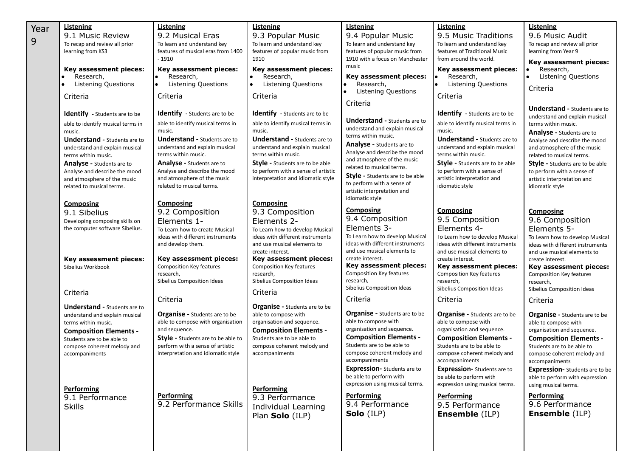| Year<br>9 | Listening<br>9.1 Music Review<br>To recap and review all prior<br>learning from KS3<br>Key assessment pieces:<br>Research,<br>Listening Questions<br>Criteria<br><b>Identify</b> - Students are to be<br>able to identify musical terms in<br>music.<br><b>Understand - Students are to</b><br>understand and explain musical<br>terms within music.<br><b>Analyse - Students are to</b><br>Analyse and describe the mood<br>and atmosphere of the music<br>related to musical terms.<br><b>Composing</b><br>9.1 Sibelius<br>Developing composing skills on<br>the computer software Sibelius. | Listening<br>9.2 Musical Eras<br>To learn and understand key<br>features of musical eras from 1400<br>$-1910$<br>Key assessment pieces:<br>Research,<br>$\bullet$<br>l.<br>Listening Questions<br>Criteria<br><b>Identify</b> - Students are to be<br>able to identify musical terms in<br>music.<br><b>Understand - Students are to</b><br>understand and explain musical<br>terms within music.<br><b>Analyse - Students are to</b><br>Analyse and describe the mood<br>and atmosphere of the music<br>related to musical terms.<br><b>Composing</b><br>9.2 Composition<br>Elements 1-<br>To Learn how to create Musical<br>ideas with different instruments | <b>Listening</b><br>9.3 Popular Music<br>To learn and understand key<br>features of popular music from<br>1910<br>Key assessment pieces:<br>Research,<br>$\bullet$<br><b>Listening Questions</b><br>Criteria<br><b>Identify</b> - Students are to be<br>able to identify musical terms in<br>music.<br><b>Understand - Students are to</b><br>understand and explain musical<br>terms within music.<br><b>Style - Students are to be able</b><br>to perform with a sense of artistic<br>interpretation and idiomatic style<br><b>Composing</b><br>9.3 Composition<br>Elements 2-<br>To Learn how to develop Musical<br>ideas with different instruments | Listening<br>9.4 Popular Music<br>To learn and understand key<br>features of popular music from<br>1910 with a focus on Manchester<br>music<br>Key assessment pieces:<br>Research,<br><b>Listening Questions</b><br>Criteria<br><b>Understand - Students are to</b><br>understand and explain musical<br>terms within music.<br><b>Analyse - Students are to</b><br>Analyse and describe the mood<br>and atmosphere of the music<br>related to musical terms.<br><b>Style - Students are to be able</b><br>to perform with a sense of<br>artistic interpretation and<br>idiomatic style<br>Composing<br>9.4 Composition<br>Elements 3-<br>To Learn how to develop Musical | Listening<br>9.5 Music Traditions<br>To learn and understand key<br>features of Traditional Music<br>from around the world.<br>Key assessment pieces:<br>Research,<br><b>Listening Questions</b><br>Criteria<br>Identify - Students are to be<br>able to identify musical terms in<br>music.<br><b>Understand - Students are to</b><br>understand and explain musical<br>terms within music.<br><b>Style - Students are to be able</b><br>to perform with a sense of<br>artistic interpretation and<br>idiomatic style<br><b>Composing</b><br>9.5 Composition<br>Elements 4-<br>To Learn how to develop Musical | <b>Listening</b><br>9.6 Music Audit<br>To recap and review all prior<br>learning from Year 9<br>Key assessment pieces:<br>Research,<br><b>Listening Questions</b><br>$\bullet$<br>Criteria<br><b>Understand - Students are to</b><br>understand and explain musical<br>terms within music.<br>Analyse - Students are to<br>Analyse and describe the mood<br>and atmosphere of the music<br>related to musical terms.<br><b>Style - Students are to be able</b><br>to perform with a sense of<br>artistic interpretation and<br>idiomatic style<br><b>Composing</b><br>9.6 Composition<br>Elements 5-<br>To Learn how to develop Musical |
|-----------|------------------------------------------------------------------------------------------------------------------------------------------------------------------------------------------------------------------------------------------------------------------------------------------------------------------------------------------------------------------------------------------------------------------------------------------------------------------------------------------------------------------------------------------------------------------------------------------------|----------------------------------------------------------------------------------------------------------------------------------------------------------------------------------------------------------------------------------------------------------------------------------------------------------------------------------------------------------------------------------------------------------------------------------------------------------------------------------------------------------------------------------------------------------------------------------------------------------------------------------------------------------------|---------------------------------------------------------------------------------------------------------------------------------------------------------------------------------------------------------------------------------------------------------------------------------------------------------------------------------------------------------------------------------------------------------------------------------------------------------------------------------------------------------------------------------------------------------------------------------------------------------------------------------------------------------|---------------------------------------------------------------------------------------------------------------------------------------------------------------------------------------------------------------------------------------------------------------------------------------------------------------------------------------------------------------------------------------------------------------------------------------------------------------------------------------------------------------------------------------------------------------------------------------------------------------------------------------------------------------------------|-----------------------------------------------------------------------------------------------------------------------------------------------------------------------------------------------------------------------------------------------------------------------------------------------------------------------------------------------------------------------------------------------------------------------------------------------------------------------------------------------------------------------------------------------------------------------------------------------------------------|-----------------------------------------------------------------------------------------------------------------------------------------------------------------------------------------------------------------------------------------------------------------------------------------------------------------------------------------------------------------------------------------------------------------------------------------------------------------------------------------------------------------------------------------------------------------------------------------------------------------------------------------|
|           | Key assessment pieces:<br>Sibelius Workbook                                                                                                                                                                                                                                                                                                                                                                                                                                                                                                                                                    | and develop them.<br>Key assessment pieces:<br><b>Composition Key features</b><br>research,<br>Sibelius Composition Ideas                                                                                                                                                                                                                                                                                                                                                                                                                                                                                                                                      | and use musical elements to<br>create interest.<br>Key assessment pieces:<br><b>Composition Key features</b><br>research,<br>Sibelius Composition Ideas                                                                                                                                                                                                                                                                                                                                                                                                                                                                                                 | ideas with different instruments<br>and use musical elements to<br>create interest.<br>Key assessment pieces:<br>Composition Key features<br>research,<br>Sibelius Composition Ideas                                                                                                                                                                                                                                                                                                                                                                                                                                                                                      | ideas with different instruments<br>and use musical elements to<br>create interest.<br>Key assessment pieces:<br><b>Composition Key features</b><br>research,<br>Sibelius Composition Ideas                                                                                                                                                                                                                                                                                                                                                                                                                     | ideas with different instruments<br>and use musical elements to<br>create interest.<br>Key assessment pieces:<br><b>Composition Key features</b><br>research,<br>Sibelius Composition Ideas                                                                                                                                                                                                                                                                                                                                                                                                                                             |
|           | Criteria<br><b>Understand - Students are to</b><br>understand and explain musical<br>terms within music.<br><b>Composition Elements -</b><br>Students are to be able to<br>compose coherent melody and<br>accompaniments<br><b>Performing</b><br>9.1 Performance<br><b>Skills</b>                                                                                                                                                                                                                                                                                                              | Criteria<br><b>Organise - Students are to be</b><br>able to compose with organisation<br>and sequence.<br>Style - Students are to be able to<br>perform with a sense of artistic<br>interpretation and idiomatic style<br><b>Performing</b><br>9.2 Performance Skills                                                                                                                                                                                                                                                                                                                                                                                          | Criteria<br><b>Organise</b> - Students are to be<br>able to compose with<br>organisation and sequence.<br><b>Composition Elements -</b><br>Students are to be able to<br>compose coherent melody and<br>accompaniments<br><b>Performing</b><br>9.3 Performance<br>Individual Learning<br>Plan Solo (ILP)                                                                                                                                                                                                                                                                                                                                                | Criteria<br><b>Organise</b> - Students are to be<br>able to compose with<br>organisation and sequence.<br><b>Composition Elements -</b><br>Students are to be able to<br>compose coherent melody and<br>accompaniments<br><b>Expression-</b> Students are to<br>be able to perform with<br>expression using musical terms.<br><b>Performing</b><br>9.4 Performance<br>Solo (ILP)                                                                                                                                                                                                                                                                                          | Criteria<br><b>Organise</b> - Students are to be<br>able to compose with<br>organisation and sequence.<br><b>Composition Elements -</b><br>Students are to be able to<br>compose coherent melody and<br>accompaniments<br><b>Expression-</b> Students are to<br>be able to perform with<br>expression using musical terms.<br><b>Performing</b><br>9.5 Performance<br><b>Ensemble</b> (ILP)                                                                                                                                                                                                                     | Criteria<br><b>Organise</b> - Students are to be<br>able to compose with<br>organisation and sequence.<br><b>Composition Elements -</b><br>Students are to be able to<br>compose coherent melody and<br>accompaniments<br><b>Expression-</b> Students are to be<br>able to perform with expression<br>using musical terms.<br><b>Performing</b><br>9.6 Performance<br><b>Ensemble</b> (ILP)                                                                                                                                                                                                                                             |
|           |                                                                                                                                                                                                                                                                                                                                                                                                                                                                                                                                                                                                |                                                                                                                                                                                                                                                                                                                                                                                                                                                                                                                                                                                                                                                                |                                                                                                                                                                                                                                                                                                                                                                                                                                                                                                                                                                                                                                                         |                                                                                                                                                                                                                                                                                                                                                                                                                                                                                                                                                                                                                                                                           |                                                                                                                                                                                                                                                                                                                                                                                                                                                                                                                                                                                                                 |                                                                                                                                                                                                                                                                                                                                                                                                                                                                                                                                                                                                                                         |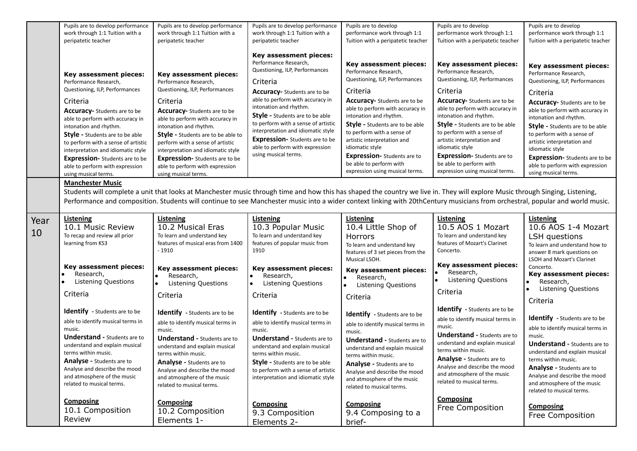|            | Pupils are to develop performance<br>work through 1:1 Tuition with a                                                                                                                                                                                                                                                                                                                                  | Pupils are to develop performance<br>work through 1:1 Tuition with a                                                                                                                                                                                                                                                                                                                           | Pupils are to develop performance<br>work through 1:1 Tuition with a                                                                                                                                                                                                                                                                                                                                                          | Pupils are to develop<br>performance work through 1:1                                                                                                                                                                                                                                                                                                                                  | Pupils are to develop<br>performance work through 1:1                                                                                                                                                                                                                                                                                                                                         | Pupils are to develop<br>performance work through 1:1                                                                                                                                                                                                                                                                                                                                             |
|------------|-------------------------------------------------------------------------------------------------------------------------------------------------------------------------------------------------------------------------------------------------------------------------------------------------------------------------------------------------------------------------------------------------------|------------------------------------------------------------------------------------------------------------------------------------------------------------------------------------------------------------------------------------------------------------------------------------------------------------------------------------------------------------------------------------------------|-------------------------------------------------------------------------------------------------------------------------------------------------------------------------------------------------------------------------------------------------------------------------------------------------------------------------------------------------------------------------------------------------------------------------------|----------------------------------------------------------------------------------------------------------------------------------------------------------------------------------------------------------------------------------------------------------------------------------------------------------------------------------------------------------------------------------------|-----------------------------------------------------------------------------------------------------------------------------------------------------------------------------------------------------------------------------------------------------------------------------------------------------------------------------------------------------------------------------------------------|---------------------------------------------------------------------------------------------------------------------------------------------------------------------------------------------------------------------------------------------------------------------------------------------------------------------------------------------------------------------------------------------------|
|            | peripatetic teacher                                                                                                                                                                                                                                                                                                                                                                                   | peripatetic teacher                                                                                                                                                                                                                                                                                                                                                                            | peripatetic teacher                                                                                                                                                                                                                                                                                                                                                                                                           | Tuition with a peripatetic teacher                                                                                                                                                                                                                                                                                                                                                     | Tuition with a peripatetic teacher                                                                                                                                                                                                                                                                                                                                                            | Tuition with a peripatetic teacher                                                                                                                                                                                                                                                                                                                                                                |
|            | Key assessment pieces:<br>Performance Research,<br>Questioning, ILP, Performances<br>Criteria<br><b>Accuracy-</b> Students are to be<br>able to perform with accuracy in<br>intonation and rhythm.<br><b>Style</b> - Students are to be able<br>to perform with a sense of artistic<br>interpretation and idiomatic style<br><b>Expression-</b> Students are to be<br>able to perform with expression | Key assessment pieces:<br>Performance Research,<br>Questioning, ILP, Performances<br>Criteria<br>Accuracy- Students are to be<br>able to perform with accuracy in<br>intonation and rhythm.<br><b>Style</b> - Students are to be able to<br>perform with a sense of artistic<br>interpretation and idiomatic style<br><b>Expression-</b> Students are to be<br>able to perform with expression | Key assessment pieces:<br>Performance Research,<br>Questioning, ILP, Performances<br>Criteria<br><b>Accuracy-</b> Students are to be<br>able to perform with accuracy in<br>intonation and rhythm.<br><b>Style - Students are to be able</b><br>to perform with a sense of artistic<br>interpretation and idiomatic style<br><b>Expression-</b> Students are to be<br>able to perform with expression<br>using musical terms. | Key assessment pieces:<br>Performance Research,<br>Questioning, ILP, Performances<br>Criteria<br>Accuracy- Students are to be<br>able to perform with accuracy in<br>intonation and rhythm.<br><b>Style - Students are to be able</b><br>to perform with a sense of<br>artistic interpretation and<br>idiomatic style<br><b>Expression-</b> Students are to<br>be able to perform with | Key assessment pieces:<br>Performance Research,<br>Questioning, ILP, Performances<br>Criteria<br><b>Accuracy-</b> Students are to be<br>able to perform with accuracy in<br>intonation and rhythm.<br><b>Style</b> - Students are to be able<br>to perform with a sense of<br>artistic interpretation and<br>idiomatic style<br><b>Expression-</b> Students are to<br>be able to perform with | Key assessment pieces:<br>Performance Research,<br>Questioning, ILP, Performances<br>Criteria<br><b>Accuracy-</b> Students are to be<br>able to perform with accuracy in<br>intonation and rhythm.<br>Style - Students are to be able<br>to perform with a sense of<br>artistic interpretation and<br>idiomatic style<br><b>Expression-</b> Students are to be<br>able to perform with expression |
|            | using musical terms.                                                                                                                                                                                                                                                                                                                                                                                  | using musical terms.                                                                                                                                                                                                                                                                                                                                                                           |                                                                                                                                                                                                                                                                                                                                                                                                                               | expression using musical terms.                                                                                                                                                                                                                                                                                                                                                        | expression using musical terms.                                                                                                                                                                                                                                                                                                                                                               | using musical terms.                                                                                                                                                                                                                                                                                                                                                                              |
|            | <b>Manchester Music</b>                                                                                                                                                                                                                                                                                                                                                                               | Students will complete a unit that looks at Manchester music through time and how this has shaped the country we live in. They will explore Music through Singing, Listening,<br>Performance and composition. Students will continue to see Manchester music into a wider context linking with 20thCentury musicians from orchestral, popular and world music.                                 |                                                                                                                                                                                                                                                                                                                                                                                                                               |                                                                                                                                                                                                                                                                                                                                                                                        |                                                                                                                                                                                                                                                                                                                                                                                               |                                                                                                                                                                                                                                                                                                                                                                                                   |
| Year<br>10 | Listening<br>10.1 Music Review<br>To recap and review all prior<br>learning from KS3                                                                                                                                                                                                                                                                                                                  | <b>Listening</b><br>10.2 Musical Eras<br>To learn and understand key<br>features of musical eras from 1400<br>$-1910$                                                                                                                                                                                                                                                                          | <b>Listening</b><br>10.3 Popular Music<br>To learn and understand key<br>features of popular music from<br>1910                                                                                                                                                                                                                                                                                                               | Listening<br>10.4 Little Shop of<br>Horrors<br>To learn and understand key<br>features of 3 set pieces from the<br>Musical LSOH.                                                                                                                                                                                                                                                       | Listening<br>10.5 AOS 1 Mozart<br>To learn and understand key<br>features of Mozart's Clarinet<br>Concerto.                                                                                                                                                                                                                                                                                   | Listening<br>10.6 AOS 1-4 Mozart<br>LSH questions<br>To learn and understand how to<br>answer 8 mark questions on<br>LSOH and Mozart's Clarinet                                                                                                                                                                                                                                                   |
|            | Key assessment pieces:<br>Research,<br>Listening Questions                                                                                                                                                                                                                                                                                                                                            | Key assessment pieces:<br>Research,<br>Listening Questions                                                                                                                                                                                                                                                                                                                                     | Key assessment pieces:<br>Research,<br>Listening Questions<br>$\bullet$                                                                                                                                                                                                                                                                                                                                                       | Key assessment pieces:<br>Research,<br>Listening Questions                                                                                                                                                                                                                                                                                                                             | Key assessment pieces:<br>Research,<br>Listening Questions                                                                                                                                                                                                                                                                                                                                    | Concerto.<br>Key assessment pieces:<br>Research,<br>$\bullet$<br>$\bullet$                                                                                                                                                                                                                                                                                                                        |
|            | Criteria                                                                                                                                                                                                                                                                                                                                                                                              | Criteria                                                                                                                                                                                                                                                                                                                                                                                       | Criteria                                                                                                                                                                                                                                                                                                                                                                                                                      | Criteria                                                                                                                                                                                                                                                                                                                                                                               | Criteria                                                                                                                                                                                                                                                                                                                                                                                      | <b>Listening Questions</b><br>Criteria                                                                                                                                                                                                                                                                                                                                                            |
|            | <b>Identify</b> - Students are to be<br>able to identify musical terms in<br>music.<br><b>Understand - Students are to</b><br>understand and explain musical<br>terms within music.<br><b>Analyse - Students are to</b><br>Analyse and describe the mood<br>and atmosphere of the music<br>related to musical terms.                                                                                  | Identify - Students are to be<br>able to identify musical terms in<br>music.<br><b>Understand - Students are to</b><br>understand and explain musical<br>terms within music.<br><b>Analyse - Students are to</b><br>Analyse and describe the mood<br>and atmosphere of the music<br>related to musical terms.                                                                                  | Identify - Students are to be<br>able to identify musical terms in<br>music.<br><b>Understand - Students are to</b><br>understand and explain musical<br>terms within music.<br><b>Style - Students are to be able</b><br>to perform with a sense of artistic<br>interpretation and idiomatic style                                                                                                                           | Identify - Students are to be<br>able to identify musical terms in<br>music.<br><b>Understand - Students are to</b><br>understand and explain musical<br>terms within music.<br>Analyse - Students are to<br>Analyse and describe the mood<br>and atmosphere of the music<br>related to musical terms.                                                                                 | Identify - Students are to be<br>able to identify musical terms in<br>music.<br><b>Understand - Students are to</b><br>understand and explain musical<br>terms within music.<br>Analyse - Students are to<br>Analyse and describe the mood<br>and atmosphere of the music<br>related to musical terms.                                                                                        | <b>Identify</b> - Students are to be<br>able to identify musical terms in<br>music.<br><b>Understand - Students are to</b><br>understand and explain musical<br>terms within music.<br>Analyse - Students are to<br>Analyse and describe the mood<br>and atmosphere of the music<br>related to musical terms.                                                                                     |
|            | <b>Composing</b><br>10.1 Composition<br>Review                                                                                                                                                                                                                                                                                                                                                        | <b>Composing</b><br>10.2 Composition<br>Elements 1-                                                                                                                                                                                                                                                                                                                                            | Composing<br>9.3 Composition<br>Elements 2-                                                                                                                                                                                                                                                                                                                                                                                   | <b>Composing</b><br>9.4 Composing to a<br>brief-                                                                                                                                                                                                                                                                                                                                       | <b>Composing</b><br>Free Composition                                                                                                                                                                                                                                                                                                                                                          | <b>Composing</b><br>Free Composition                                                                                                                                                                                                                                                                                                                                                              |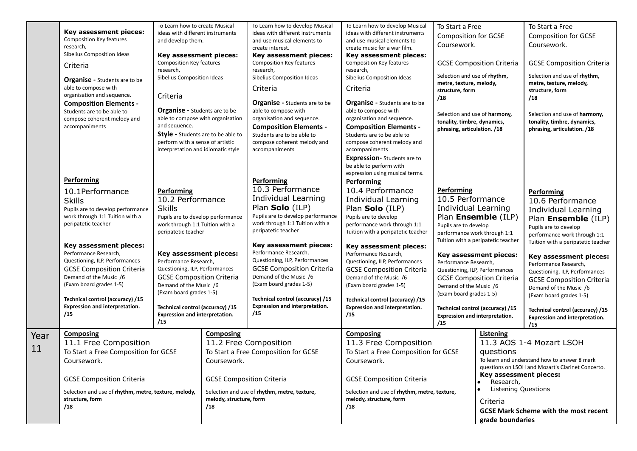|      |                                                                         | To Learn how to create Musical                                                |                                  | To Learn how to develop Musical                 | To Learn how to develop Musical                                         | To Start a Free                                         |                                     | To Start a Free                                   |
|------|-------------------------------------------------------------------------|-------------------------------------------------------------------------------|----------------------------------|-------------------------------------------------|-------------------------------------------------------------------------|---------------------------------------------------------|-------------------------------------|---------------------------------------------------|
|      | Key assessment pieces:<br><b>Composition Key features</b>               | ideas with different instruments                                              |                                  | ideas with different instruments                | ideas with different instruments                                        | <b>Composition for GCSE</b>                             |                                     | <b>Composition for GCSE</b>                       |
|      | research,                                                               | and develop them.                                                             |                                  | and use musical elements to<br>create interest. | and use musical elements to<br>create music for a war film.             | Coursework.                                             |                                     | Coursework.                                       |
|      | Sibelius Composition Ideas                                              | Key assessment pieces:                                                        |                                  | Key assessment pieces:                          | Key assessment pieces:                                                  |                                                         |                                     |                                                   |
|      | Criteria                                                                | Composition Key features                                                      |                                  | Composition Key features                        | Composition Key features                                                |                                                         | <b>GCSE Composition Criteria</b>    | <b>GCSE Composition Criteria</b>                  |
|      |                                                                         | research,                                                                     |                                  | research,                                       | research,                                                               |                                                         |                                     |                                                   |
|      | <b>Organise</b> - Students are to be                                    | Sibelius Composition Ideas                                                    |                                  | Sibelius Composition Ideas                      | Sibelius Composition Ideas                                              | Selection and use of rhythm,                            |                                     | Selection and use of rhythm,                      |
|      | able to compose with                                                    |                                                                               |                                  | Criteria                                        | Criteria                                                                | metre, texture, melody,<br>structure, form              |                                     | metre, texture, melody,<br>structure, form        |
|      | organisation and sequence.                                              | Criteria                                                                      |                                  |                                                 |                                                                         | /18                                                     |                                     | /18                                               |
|      | <b>Composition Elements -</b>                                           |                                                                               |                                  | <b>Organise</b> - Students are to be            | <b>Organise</b> - Students are to be                                    |                                                         |                                     |                                                   |
|      | Students are to be able to                                              | <b>Organise - Students are to be</b>                                          |                                  | able to compose with                            | able to compose with                                                    | Selection and use of harmony,                           |                                     | Selection and use of harmony,                     |
|      | compose coherent melody and                                             | able to compose with organisation                                             |                                  | organisation and sequence.                      | organisation and sequence.                                              | tonality, timbre, dynamics,                             |                                     | tonality, timbre, dynamics,                       |
|      | accompaniments                                                          | and sequence.                                                                 |                                  | <b>Composition Elements -</b>                   | <b>Composition Elements -</b>                                           | phrasing, articulation. /18                             |                                     | phrasing, articulation. /18                       |
|      |                                                                         | <b>Style</b> - Students are to be able to<br>perform with a sense of artistic |                                  | Students are to be able to                      | Students are to be able to                                              |                                                         |                                     |                                                   |
|      |                                                                         | interpretation and idiomatic style                                            |                                  | compose coherent melody and<br>accompaniments   | compose coherent melody and<br>accompaniments                           |                                                         |                                     |                                                   |
|      |                                                                         |                                                                               |                                  |                                                 | <b>Expression-</b> Students are to                                      |                                                         |                                     |                                                   |
|      |                                                                         |                                                                               |                                  |                                                 | be able to perform with                                                 |                                                         |                                     |                                                   |
|      |                                                                         |                                                                               |                                  |                                                 | expression using musical terms.                                         |                                                         |                                     |                                                   |
|      | <b>Performing</b>                                                       |                                                                               |                                  | Performing                                      | <b>Performing</b>                                                       |                                                         |                                     |                                                   |
|      | 10.1Performance                                                         | <b>Performing</b>                                                             |                                  | 10.3 Performance                                | 10.4 Performance                                                        | <b>Performing</b>                                       |                                     | <b>Performing</b>                                 |
|      | <b>Skills</b>                                                           | 10.2 Performance                                                              |                                  | Individual Learning                             | <b>Individual Learning</b>                                              | 10.5 Performance                                        |                                     | 10.6 Performance                                  |
|      | Pupils are to develop performance                                       | <b>Skills</b>                                                                 |                                  | Plan Solo (ILP)                                 | Plan Solo (ILP)                                                         | Individual Learning                                     |                                     | <b>Individual Learning</b>                        |
|      | work through 1:1 Tuition with a                                         | Pupils are to develop performance                                             |                                  | Pupils are to develop performance               | Pupils are to develop                                                   |                                                         | Plan Ensemble (ILP)                 |                                                   |
|      | peripatetic teacher                                                     | work through 1:1 Tuition with a                                               |                                  | work through 1:1 Tuition with a                 | performance work through 1:1                                            | Pupils are to develop                                   |                                     | Plan Ensemble (ILP)<br>Pupils are to develop      |
|      |                                                                         | peripatetic teacher                                                           |                                  | peripatetic teacher                             | Tuition with a peripatetic teacher                                      | performance work through 1:1                            |                                     | performance work through 1:1                      |
|      |                                                                         |                                                                               |                                  |                                                 |                                                                         |                                                         | Tuition with a peripatetic teacher  | Tuition with a peripatetic teacher                |
|      | Key assessment pieces:                                                  |                                                                               |                                  | Key assessment pieces:<br>Performance Research, | Key assessment pieces:                                                  |                                                         |                                     |                                                   |
|      | Performance Research,<br>Questioning, ILP, Performances                 | Key assessment pieces:<br>Performance Research,                               |                                  | Questioning, ILP, Performances                  | Performance Research,<br>Questioning, ILP, Performances                 |                                                         | Key assessment pieces:              | Key assessment pieces:                            |
|      | <b>GCSE Composition Criteria</b>                                        | Questioning, ILP, Performances                                                |                                  | <b>GCSE Composition Criteria</b>                | <b>GCSE Composition Criteria</b>                                        | Performance Research,<br>Questioning, ILP, Performances |                                     | Performance Research,                             |
|      | Demand of the Music /6                                                  | <b>GCSE Composition Criteria</b>                                              |                                  | Demand of the Music /6                          | Demand of the Music /6                                                  |                                                         | <b>GCSE Composition Criteria</b>    | Questioning, ILP, Performances                    |
|      | (Exam board grades 1-5)                                                 | Demand of the Music /6                                                        |                                  | (Exam board grades 1-5)                         | (Exam board grades 1-5)                                                 | Demand of the Music /6                                  |                                     | <b>GCSE Composition Criteria</b>                  |
|      |                                                                         | (Exam board grades 1-5)                                                       |                                  |                                                 |                                                                         | (Exam board grades 1-5)                                 |                                     | Demand of the Music /6<br>(Exam board grades 1-5) |
|      | Technical control (accuracy) /15                                        |                                                                               |                                  | Technical control (accuracy) /15                | Technical control (accuracy) /15                                        |                                                         |                                     |                                                   |
|      | <b>Expression and interpretation.</b>                                   | Technical control (accuracy) /15                                              |                                  | <b>Expression and interpretation.</b>           | <b>Expression and interpretation.</b>                                   |                                                         | Technical control (accuracy) /15    | Technical control (accuracy) /15                  |
|      | /15                                                                     | Expression and interpretation.<br>/15                                         |                                  | /15                                             | /15                                                                     | <b>Expression and interpretation.</b>                   |                                     | Expression and interpretation.                    |
|      |                                                                         |                                                                               |                                  |                                                 |                                                                         | /15                                                     |                                     | /15                                               |
| Year | <b>Composing</b>                                                        |                                                                               | <b>Composing</b>                 |                                                 | <b>Composing</b>                                                        |                                                         | Listening                           |                                                   |
| 11   | 11.1 Free Composition                                                   |                                                                               |                                  | 11.2 Free Composition                           | 11.3 Free Composition                                                   |                                                         |                                     | 11.3 AOS 1-4 Mozart LSOH                          |
|      | To Start a Free Composition for GCSE                                    |                                                                               |                                  | To Start a Free Composition for GCSE            | To Start a Free Composition for GCSE                                    |                                                         | questions                           |                                                   |
|      | Coursework.                                                             |                                                                               | Coursework.                      |                                                 | Coursework.                                                             |                                                         |                                     | To learn and understand how to answer 8 mark      |
|      |                                                                         |                                                                               |                                  |                                                 |                                                                         |                                                         |                                     | questions on LSOH and Mozart's Clarinet Concerto. |
|      | <b>GCSE Composition Criteria</b>                                        |                                                                               | <b>GCSE Composition Criteria</b> |                                                 | <b>GCSE Composition Criteria</b>                                        |                                                         | Key assessment pieces:<br>Research, |                                                   |
|      |                                                                         |                                                                               |                                  |                                                 |                                                                         |                                                         | <b>Listening Questions</b>          |                                                   |
|      | Selection and use of rhythm, metre, texture, melody,<br>structure, form |                                                                               | melody, structure, form          | Selection and use of rhythm, metre, texture,    | Selection and use of rhythm, metre, texture,<br>melody, structure, form |                                                         |                                     |                                                   |
|      | /18                                                                     |                                                                               | /18                              |                                                 | /18                                                                     |                                                         | Criteria                            |                                                   |
|      |                                                                         |                                                                               |                                  |                                                 |                                                                         |                                                         |                                     | <b>GCSE Mark Scheme with the most recent</b>      |
|      |                                                                         |                                                                               |                                  |                                                 |                                                                         |                                                         | grade boundaries                    |                                                   |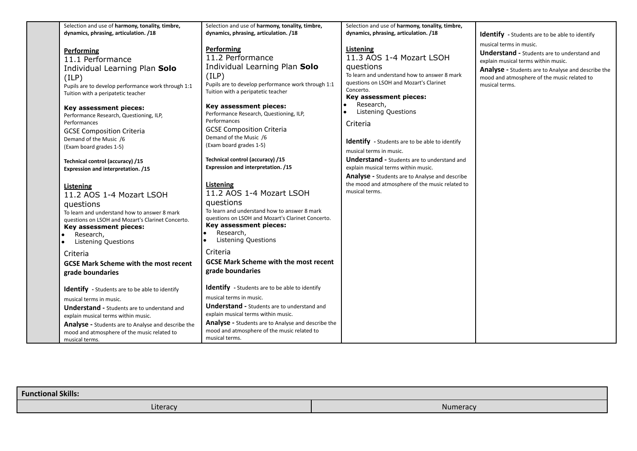| musical terms in music.<br>Performing<br>Listening<br><b>Performing</b><br>11.3 AOS 1-4 Mozart LSOH<br>11.2 Performance<br>11.1 Performance<br>explain musical terms within music.<br>Individual Learning Plan Solo<br>questions<br>Individual Learning Plan Solo<br>To learn and understand how to answer 8 mark<br>(ILP)<br>(ILP)<br>questions on LSOH and Mozart's Clarinet<br>Pupils are to develop performance work through 1:1<br>musical terms.<br>Pupils are to develop performance work through 1:1<br>Concerto.<br>Tuition with a peripatetic teacher<br>Tuition with a peripatetic teacher<br>Key assessment pieces:<br>Research,<br>Key assessment pieces:<br>Key assessment pieces:<br><b>Listening Questions</b><br>Performance Research, Questioning, ILP,<br>Performance Research, Questioning, ILP,<br>Performances<br>Performances<br>Criteria<br><b>GCSE Composition Criteria</b><br><b>GCSE Composition Criteria</b><br>Demand of the Music /6<br>Demand of the Music /6<br><b>Identify</b> - Students are to be able to identify<br>(Exam board grades 1-5)<br>(Exam board grades 1-5)<br>musical terms in music.<br>Technical control (accuracy) /15<br><b>Understand - Students are to understand and</b><br>Technical control (accuracy) /15<br>Expression and interpretation. /15<br>explain musical terms within music.<br>Expression and interpretation. /15<br><b>Analyse - Students are to Analyse and describe</b><br>the mood and atmosphere of the music related to<br>Listening<br>Listening<br>musical terms.<br>11.2 AOS 1-4 Mozart LSOH<br>11.2 AOS 1-4 Mozart LSOH<br>questions<br>questions<br>To learn and understand how to answer 8 mark<br>To learn and understand how to answer 8 mark<br>questions on LSOH and Mozart's Clarinet Concerto.<br>questions on LSOH and Mozart's Clarinet Concerto.<br>Key assessment pieces:<br>Key assessment pieces:<br>Research,<br>$\bullet$<br>Research,<br><b>Listening Questions</b><br><b>Listening Questions</b><br>Criteria<br>Criteria<br><b>GCSE Mark Scheme with the most recent</b><br><b>GCSE Mark Scheme with the most recent</b><br>grade boundaries<br>grade boundaries<br>Identify - Students are to be able to identify<br>Identify - Students are to be able to identify<br>musical terms in music.<br>musical terms in music.<br><b>Understand - Students are to understand and</b><br><b>Understand - Students are to understand and</b><br>explain musical terms within music.<br>explain musical terms within music. | Selection and use of harmony, tonality, timbre,                                                    | Selection and use of harmony, tonality, timbre,                                             | Selection and use of harmony, tonality, timbre, |                                                                                                                                                                                                                  |
|------------------------------------------------------------------------------------------------------------------------------------------------------------------------------------------------------------------------------------------------------------------------------------------------------------------------------------------------------------------------------------------------------------------------------------------------------------------------------------------------------------------------------------------------------------------------------------------------------------------------------------------------------------------------------------------------------------------------------------------------------------------------------------------------------------------------------------------------------------------------------------------------------------------------------------------------------------------------------------------------------------------------------------------------------------------------------------------------------------------------------------------------------------------------------------------------------------------------------------------------------------------------------------------------------------------------------------------------------------------------------------------------------------------------------------------------------------------------------------------------------------------------------------------------------------------------------------------------------------------------------------------------------------------------------------------------------------------------------------------------------------------------------------------------------------------------------------------------------------------------------------------------------------------------------------------------------------------------------------------------------------------------------------------------------------------------------------------------------------------------------------------------------------------------------------------------------------------------------------------------------------------------------------------------------------------------------------------------------------------------------------------------------------------------------------------------------------------------------------------------------------------------|----------------------------------------------------------------------------------------------------|---------------------------------------------------------------------------------------------|-------------------------------------------------|------------------------------------------------------------------------------------------------------------------------------------------------------------------------------------------------------------------|
| mood and atmosphere of the music related to<br>mood and atmosphere of the music related to<br>musical terms.                                                                                                                                                                                                                                                                                                                                                                                                                                                                                                                                                                                                                                                                                                                                                                                                                                                                                                                                                                                                                                                                                                                                                                                                                                                                                                                                                                                                                                                                                                                                                                                                                                                                                                                                                                                                                                                                                                                                                                                                                                                                                                                                                                                                                                                                                                                                                                                                           | dynamics, phrasing, articulation. /18<br><b>Analyse</b> - Students are to Analyse and describe the | dynamics, phrasing, articulation. /18<br>Analyse - Students are to Analyse and describe the | dynamics, phrasing, articulation. /18           | <b>Identify</b> - Students are to be able to identify<br><b>Understand - Students are to understand and</b><br>Analyse - Students are to Analyse and describe the<br>mood and atmosphere of the music related to |

| <b>Functional Skills:</b> |          |
|---------------------------|----------|
| $\cdots$<br>Literacy      | Numeracy |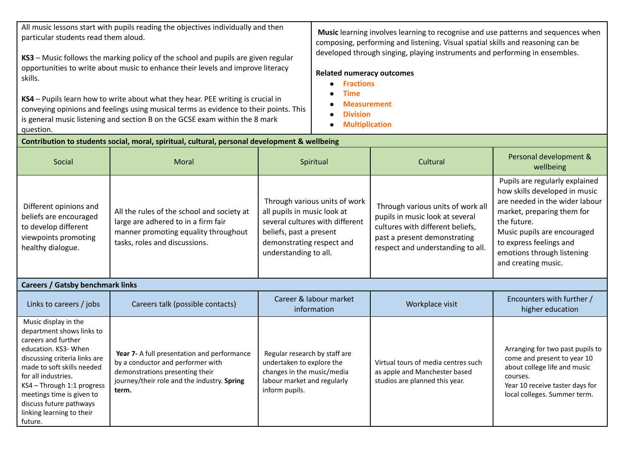All music lessons start with pupils reading the objectives individually and then particular students read them aloud.

**KS3** – Music follows the marking policy of the school and pupils are given regular opportunities to write about music to enhance their levels and improve literacy skills.

**KS4** – Pupils learn how to write about what they hear. PEE writing is crucial in conveying opinions and feelings using musical terms as evidence to their points. This is general music listening and section B on the GCSE exam within the 8 mark question.

**Music** learning involves learning to recognise and use patterns and sequences when composing, performing and listening. Visual spatial skills and reasoning can be developed through singing, playing instruments and performing in ensembles.

## **Related numeracy outcomes**

- **● Fractions**
- **● Time**
- **● Measurement**
- **● Division**
- **● Multiplication**

| Contribution to students social, moral, spiritual, cultural, personal development & wellbeing                                                                                                                                                                                                                        |                                                                                                                                                                             |                                                                                                                                                                                  |                                                                                                                                                                               |                                                                                                                                                                                                                                                               |  |  |  |
|----------------------------------------------------------------------------------------------------------------------------------------------------------------------------------------------------------------------------------------------------------------------------------------------------------------------|-----------------------------------------------------------------------------------------------------------------------------------------------------------------------------|----------------------------------------------------------------------------------------------------------------------------------------------------------------------------------|-------------------------------------------------------------------------------------------------------------------------------------------------------------------------------|---------------------------------------------------------------------------------------------------------------------------------------------------------------------------------------------------------------------------------------------------------------|--|--|--|
| Social                                                                                                                                                                                                                                                                                                               | Moral                                                                                                                                                                       | Spiritual                                                                                                                                                                        | Cultural                                                                                                                                                                      | Personal development &<br>wellbeing                                                                                                                                                                                                                           |  |  |  |
| Different opinions and<br>beliefs are encouraged<br>to develop different<br>viewpoints promoting<br>healthy dialogue.                                                                                                                                                                                                | All the rules of the school and society at<br>large are adhered to in a firm fair<br>manner promoting equality throughout<br>tasks, roles and discussions.                  | Through various units of work<br>all pupils in music look at<br>several cultures with different<br>beliefs, past a present<br>demonstrating respect and<br>understanding to all. | Through various units of work all<br>pupils in music look at several<br>cultures with different beliefs,<br>past a present demonstrating<br>respect and understanding to all. | Pupils are regularly explained<br>how skills developed in music<br>are needed in the wider labour<br>market, preparing them for<br>the future.<br>Music pupils are encouraged<br>to express feelings and<br>emotions through listening<br>and creating music. |  |  |  |
| <b>Careers / Gatsby benchmark links</b>                                                                                                                                                                                                                                                                              |                                                                                                                                                                             |                                                                                                                                                                                  |                                                                                                                                                                               |                                                                                                                                                                                                                                                               |  |  |  |
| Links to careers / jobs                                                                                                                                                                                                                                                                                              | Careers talk (possible contacts)                                                                                                                                            | Career & labour market<br>information                                                                                                                                            | Workplace visit                                                                                                                                                               | Encounters with further /<br>higher education                                                                                                                                                                                                                 |  |  |  |
| Music display in the<br>department shows links to<br>careers and further<br>education. KS3- When<br>discussing criteria links are<br>made to soft skills needed<br>for all industries.<br>KS4 - Through 1:1 progress<br>meetings time is given to<br>discuss future pathways<br>linking learning to their<br>future. | Year 7- A full presentation and performance<br>by a conductor and performer with<br>demonstrations presenting their<br>journey/their role and the industry. Spring<br>term. | Regular research by staff are<br>undertaken to explore the<br>changes in the music/media<br>labour market and regularly<br>inform pupils.                                        | Virtual tours of media centres such<br>as apple and Manchester based<br>studios are planned this year.                                                                        | Arranging for two past pupils to<br>come and present to year 10<br>about college life and music<br>courses.<br>Year 10 receive taster days for<br>local colleges. Summer term.                                                                                |  |  |  |